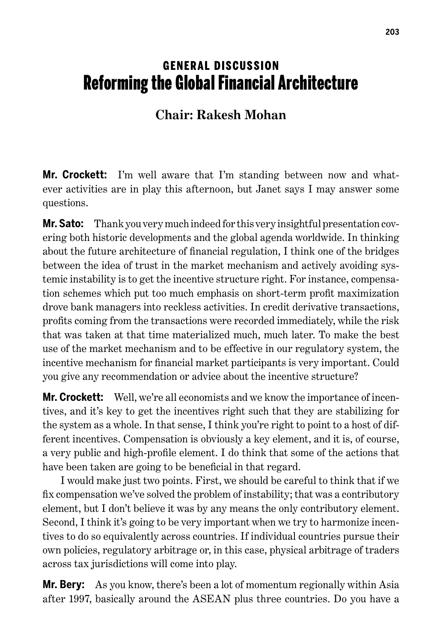## **GENERAL DISCUSSION** Reforming the Global Financial Architecture

## **Chair: Rakesh Mohan**

**Mr. Crockett:** I'm well aware that I'm standing between now and whatever activities are in play this afternoon, but Janet says I may answer some questions.

**Mr. Sato:** Thank you very much indeed for this very insightful presentation covering both historic developments and the global agenda worldwide. In thinking about the future architecture of financial regulation, I think one of the bridges between the idea of trust in the market mechanism and actively avoiding systemic instability is to get the incentive structure right. For instance, compensation schemes which put too much emphasis on short-term profit maximization drove bank managers into reckless activities. In credit derivative transactions, profits coming from the transactions were recorded immediately, while the risk that was taken at that time materialized much, much later. To make the best use of the market mechanism and to be effective in our regulatory system, the incentive mechanism for financial market participants is very important. Could you give any recommendation or advice about the incentive structure?

**Mr. Crockett:** Well, we're all economists and we know the importance of incentives, and it's key to get the incentives right such that they are stabilizing for the system as a whole. In that sense, I think you're right to point to a host of different incentives. Compensation is obviously a key element, and it is, of course, a very public and high-profile element. I do think that some of the actions that have been taken are going to be beneficial in that regard.

I would make just two points. First, we should be careful to think that if we fix compensation we've solved the problem of instability; that was a contributory element, but I don't believe it was by any means the only contributory element. Second, I think it's going to be very important when we try to harmonize incentives to do so equivalently across countries. If individual countries pursue their own policies, regulatory arbitrage or, in this case, physical arbitrage of traders across tax jurisdictions will come into play.

**Mr. Bery:** As you know, there's been a lot of momentum regionally within Asia after 1997, basically around the ASEAN plus three countries. Do you have a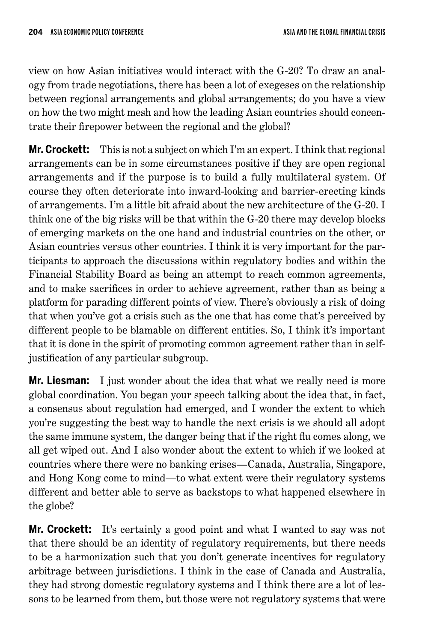view on how Asian initiatives would interact with the G-20? To draw an analogy from trade negotiations, there has been a lot of exegeses on the relationship between regional arrangements and global arrangements; do you have a view on how the two might mesh and how the leading Asian countries should concentrate their firepower between the regional and the global?

**Mr. Crockett:** This is not a subject on which I'm an expert. I think that regional arrangements can be in some circumstances positive if they are open regional arrangements and if the purpose is to build a fully multilateral system. Of course they often deteriorate into inward-looking and barrier-erecting kinds of arrangements. I'm a little bit afraid about the new architecture of the G-20. I think one of the big risks will be that within the G-20 there may develop blocks of emerging markets on the one hand and industrial countries on the other, or Asian countries versus other countries. I think it is very important for the participants to approach the discussions within regulatory bodies and within the Financial Stability Board as being an attempt to reach common agreements, and to make sacrifices in order to achieve agreement, rather than as being a platform for parading different points of view. There's obviously a risk of doing that when you've got a crisis such as the one that has come that's perceived by different people to be blamable on different entities. So, I think it's important that it is done in the spirit of promoting common agreement rather than in selfjustification of any particular subgroup.

**Mr. Liesman:** I just wonder about the idea that what we really need is more global coordination. You began your speech talking about the idea that, in fact, a consensus about regulation had emerged, and I wonder the extent to which you're suggesting the best way to handle the next crisis is we should all adopt the same immune system, the danger being that if the right flu comes along, we all get wiped out. And I also wonder about the extent to which if we looked at countries where there were no banking crises—Canada, Australia, Singapore, and Hong Kong come to mind—to what extent were their regulatory systems different and better able to serve as backstops to what happened elsewhere in the globe?

**Mr. Crockett:** It's certainly a good point and what I wanted to say was not that there should be an identity of regulatory requirements, but there needs to be a harmonization such that you don't generate incentives for regulatory arbitrage between jurisdictions. I think in the case of Canada and Australia, they had strong domestic regulatory systems and I think there are a lot of lessons to be learned from them, but those were not regulatory systems that were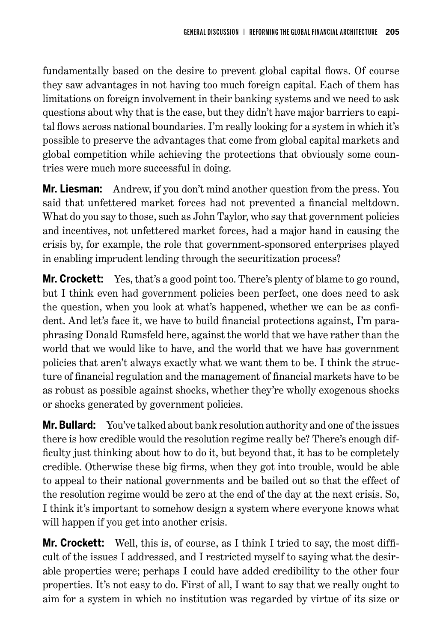fundamentally based on the desire to prevent global capital flows. Of course they saw advantages in not having too much foreign capital. Each of them has limitations on foreign involvement in their banking systems and we need to ask questions about why that is the case, but they didn't have major barriers to capital flows across national boundaries. I'm really looking for a system in which it's possible to preserve the advantages that come from global capital markets and global competition while achieving the protections that obviously some countries were much more successful in doing.

**Mr. Liesman:** Andrew, if you don't mind another question from the press. You said that unfettered market forces had not prevented a financial meltdown. What do you say to those, such as John Taylor, who say that government policies and incentives, not unfettered market forces, had a major hand in causing the crisis by, for example, the role that government-sponsored enterprises played in enabling imprudent lending through the securitization process?

**Mr. Crockett:** Yes, that's a good point too. There's plenty of blame to go round, but I think even had government policies been perfect, one does need to ask the question, when you look at what's happened, whether we can be as confident. And let's face it, we have to build financial protections against, I'm paraphrasing Donald Rumsfeld here, against the world that we have rather than the world that we would like to have, and the world that we have has government policies that aren't always exactly what we want them to be. I think the structure of financial regulation and the management of financial markets have to be as robust as possible against shocks, whether they're wholly exogenous shocks or shocks generated by government policies.

**Mr. Bullard:** You've talked about bank resolution authority and one of the issues there is how credible would the resolution regime really be? There's enough difficulty just thinking about how to do it, but beyond that, it has to be completely credible. Otherwise these big firms, when they got into trouble, would be able to appeal to their national governments and be bailed out so that the effect of the resolution regime would be zero at the end of the day at the next crisis. So, I think it's important to somehow design a system where everyone knows what will happen if you get into another crisis.

**Mr. Crockett:** Well, this is, of course, as I think I tried to say, the most difficult of the issues I addressed, and I restricted myself to saying what the desirable properties were; perhaps I could have added credibility to the other four properties. It's not easy to do. First of all, I want to say that we really ought to aim for a system in which no institution was regarded by virtue of its size or